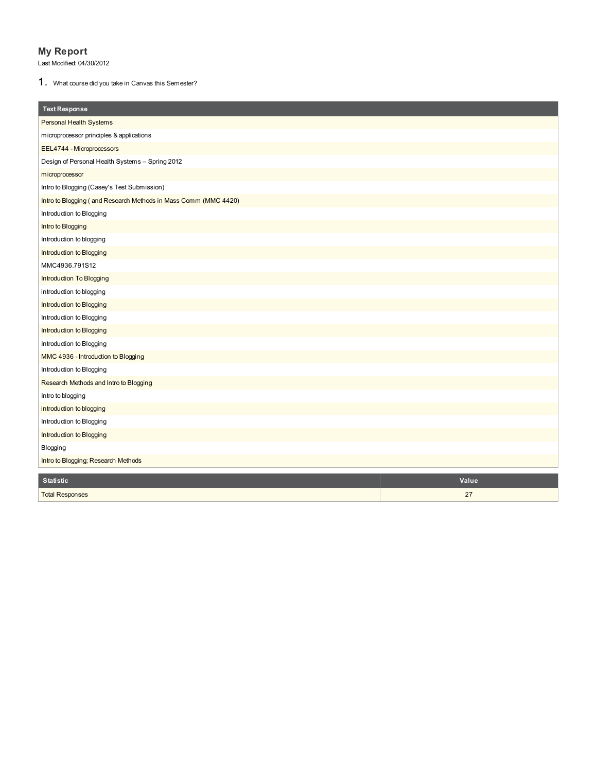## **My Report**

Last Modified: 04/30/2012

1. What course did you take in Canvas this Semester?

| <b>Text Response</b>                                            |       |
|-----------------------------------------------------------------|-------|
| Personal Health Systems                                         |       |
| microprocessor principles & applications                        |       |
| EEL4744 - Microprocessors                                       |       |
| Design of Personal Health Systems - Spring 2012                 |       |
| microprocessor                                                  |       |
| Intro to Blogging (Casey's Test Submission)                     |       |
| Intro to Blogging (and Research Methods in Mass Comm (MMC 4420) |       |
| Introduction to Blogging                                        |       |
| Intro to Blogging                                               |       |
| Introduction to blogging                                        |       |
| Introduction to Blogging                                        |       |
| MMC4936.791S12                                                  |       |
| Introduction To Blogging                                        |       |
| introduction to blogging                                        |       |
| Introduction to Blogging                                        |       |
| Introduction to Blogging                                        |       |
| Introduction to Blogging                                        |       |
| Introduction to Blogging                                        |       |
| MMC 4936 - Introduction to Blogging                             |       |
| Introduction to Blogging                                        |       |
| Research Methods and Intro to Blogging                          |       |
| Intro to blogging                                               |       |
| introduction to blogging                                        |       |
| Introduction to Blogging                                        |       |
| Introduction to Blogging                                        |       |
| Blogging                                                        |       |
| Intro to Blogging; Research Methods                             |       |
| <b>Statistic</b>                                                | Value |
| <b>Total Responses</b>                                          | 27    |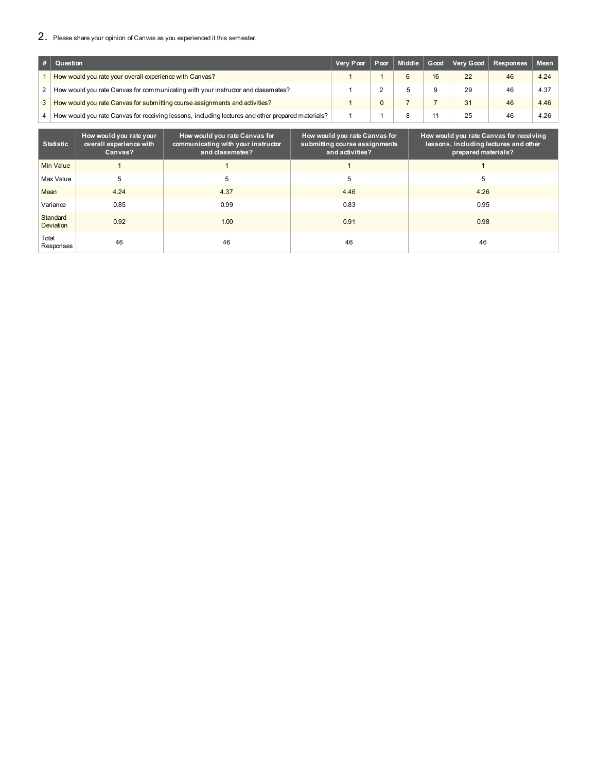### 2. Please share your opinion of Canvas as you experienced it this semester.

|   | $#$ Question                                                                                      | Very Poor   Poor   Middle   Good |   |    |    | Very Good Responses | <b>Mean</b> |
|---|---------------------------------------------------------------------------------------------------|----------------------------------|---|----|----|---------------------|-------------|
|   | How would you rate your overall experience with Canvas?                                           |                                  | 6 | 16 | 22 | 46                  | 4.24        |
| 2 | How would you rate Canvas for communicating with your instructor and dassmates?                   |                                  |   | 9  | 29 | 46                  | 4.37        |
| 3 | How would you rate Canvas for submitting course assignments and activities?                       |                                  |   |    | 31 | 46                  | 4.46        |
|   | How would you rate Canvas for receiving lessons, including lectures and other prepared materials? |                                  |   |    | 25 | 46                  | 4.26        |

| <b>Statistic</b>             | How would you rate your<br>overall experience with<br>Canvas? | How would you rate Canvas for<br>communicating with your instructor<br>and classmates? | How would you rate Canvas for<br>submitting course assignments<br>and activities? | How would you rate Canvas for receiving<br>lessons, including lectures and other<br>prepared materials? |
|------------------------------|---------------------------------------------------------------|----------------------------------------------------------------------------------------|-----------------------------------------------------------------------------------|---------------------------------------------------------------------------------------------------------|
| Min Value                    |                                                               |                                                                                        |                                                                                   |                                                                                                         |
| Max Value                    | 5                                                             | 5                                                                                      | 5                                                                                 | 5                                                                                                       |
| Mean                         | 4.24                                                          | 4.37                                                                                   | 4.46                                                                              | 4.26                                                                                                    |
| Variance                     | 0.85                                                          | 0.99                                                                                   | 0.83                                                                              | 0.95                                                                                                    |
| Standard<br><b>Deviation</b> | 0.92                                                          | 1.00                                                                                   | 0.91                                                                              | 0.98                                                                                                    |
| Total<br>Responses           | 46                                                            | 46                                                                                     | 46                                                                                | 46                                                                                                      |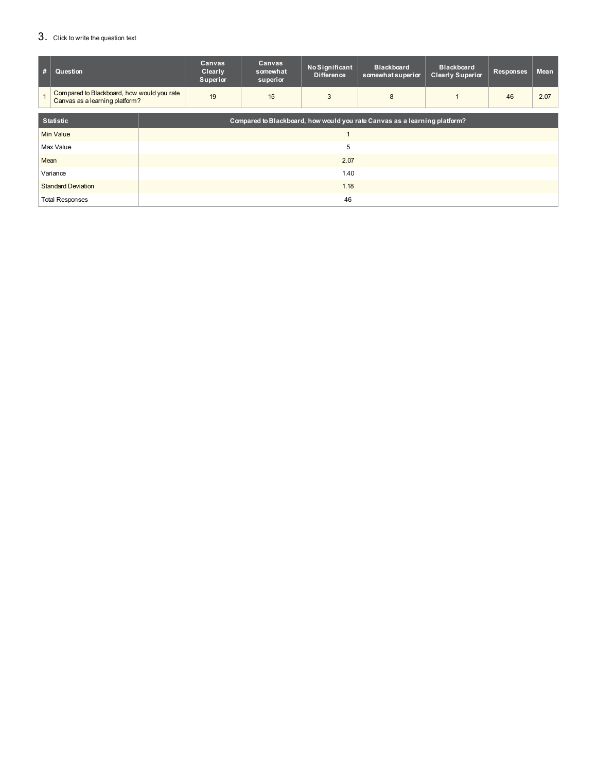# 3. Click to write the question text

| #    | Question                                                                     |                                                                           | Canvas<br>Clearly<br>Superior | Canvas<br>somewhat<br>superior | No Significant<br><b>Difference</b> | <b>Blackboard</b><br>somewhat superior | <b>Blackboard</b><br><b>Clearly Superior</b> | <b>Responses</b> | <b>Mean</b> |
|------|------------------------------------------------------------------------------|---------------------------------------------------------------------------|-------------------------------|--------------------------------|-------------------------------------|----------------------------------------|----------------------------------------------|------------------|-------------|
|      | Compared to Blackboard, how would you rate<br>Canvas as a learning platform? |                                                                           | 19                            | 15                             | 3                                   | 8                                      |                                              | 46               | 2.07        |
|      |                                                                              |                                                                           |                               |                                |                                     |                                        |                                              |                  |             |
|      | <b>Statistic</b>                                                             | Compared to Blackboard, how would you rate Canvas as a learning platform? |                               |                                |                                     |                                        |                                              |                  |             |
|      | Min Value                                                                    |                                                                           |                               |                                |                                     |                                        |                                              |                  |             |
|      | Max Value                                                                    | 5                                                                         |                               |                                |                                     |                                        |                                              |                  |             |
| Mean |                                                                              | 2.07                                                                      |                               |                                |                                     |                                        |                                              |                  |             |
|      | Variance                                                                     | 1.40                                                                      |                               |                                |                                     |                                        |                                              |                  |             |
|      | <b>Standard Deviation</b>                                                    |                                                                           | 1.18                          |                                |                                     |                                        |                                              |                  |             |
|      | <b>Total Responses</b>                                                       | 46                                                                        |                               |                                |                                     |                                        |                                              |                  |             |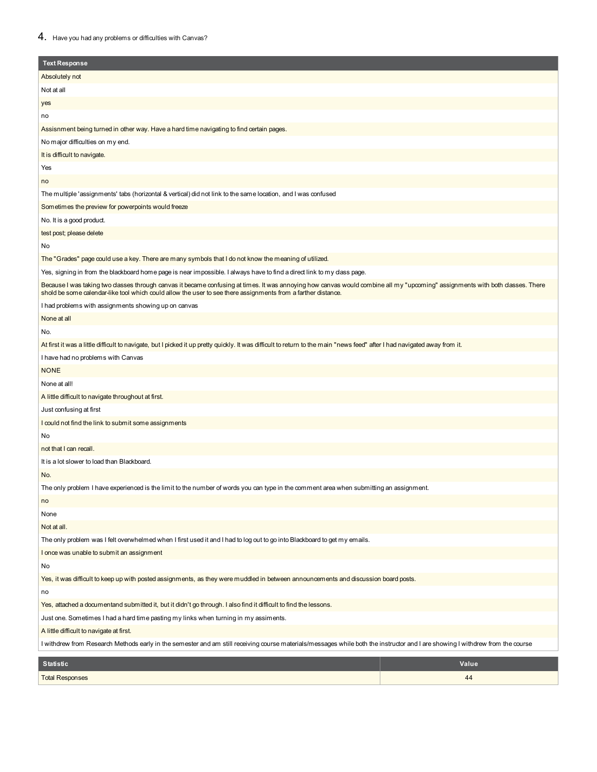#### 4. Have you had any problems or difficulties with Canvas?

| <b>Text Response</b>                                                                                                                                                                                                                                                                         |       |  |  |  |
|----------------------------------------------------------------------------------------------------------------------------------------------------------------------------------------------------------------------------------------------------------------------------------------------|-------|--|--|--|
| Absolutely not                                                                                                                                                                                                                                                                               |       |  |  |  |
| Not at all                                                                                                                                                                                                                                                                                   |       |  |  |  |
| yes                                                                                                                                                                                                                                                                                          |       |  |  |  |
| no                                                                                                                                                                                                                                                                                           |       |  |  |  |
| Assisnment being turned in other way. Have a hard time navigating to find certain pages.                                                                                                                                                                                                     |       |  |  |  |
| No major difficulties on my end.                                                                                                                                                                                                                                                             |       |  |  |  |
| It is difficult to navigate.                                                                                                                                                                                                                                                                 |       |  |  |  |
| Yes                                                                                                                                                                                                                                                                                          |       |  |  |  |
| no                                                                                                                                                                                                                                                                                           |       |  |  |  |
| The multiple 'assignments' tabs (horizontal & vertical) did not link to the same location, and I was confused                                                                                                                                                                                |       |  |  |  |
| Sometimes the preview for powerpoints would freeze                                                                                                                                                                                                                                           |       |  |  |  |
| No. It is a good product.                                                                                                                                                                                                                                                                    |       |  |  |  |
| test post; please delete                                                                                                                                                                                                                                                                     |       |  |  |  |
| No                                                                                                                                                                                                                                                                                           |       |  |  |  |
| The "Grades" page could use a key. There are many symbols that I do not know the meaning of utilized.                                                                                                                                                                                        |       |  |  |  |
| Yes, signing in from the blackboard home page is near impossible. I always have to find a direct link to my dass page.                                                                                                                                                                       |       |  |  |  |
| Because I was taking two dasses through canvas it became confusing at times. It was annoying how canvas would combine all my "upcoming" assignments with both dasses. There<br>shold be some calendar-like tool which could allow the user to see there assignments from a farther distance. |       |  |  |  |
| I had problems with assignments showing up on canvas                                                                                                                                                                                                                                         |       |  |  |  |
| None at all                                                                                                                                                                                                                                                                                  |       |  |  |  |
| No.                                                                                                                                                                                                                                                                                          |       |  |  |  |
| At first it was a little difficult to navigate, but I picked it up pretty quickly. It was difficult to return to the main "news feed" after I had navigated away from it.                                                                                                                    |       |  |  |  |
| I have had no problems with Canvas                                                                                                                                                                                                                                                           |       |  |  |  |
| <b>NONE</b>                                                                                                                                                                                                                                                                                  |       |  |  |  |
| None at all!                                                                                                                                                                                                                                                                                 |       |  |  |  |
| A little difficult to navigate throughout at first.                                                                                                                                                                                                                                          |       |  |  |  |
| Just confusing at first                                                                                                                                                                                                                                                                      |       |  |  |  |
| I could not find the link to submit some assignments                                                                                                                                                                                                                                         |       |  |  |  |
| No                                                                                                                                                                                                                                                                                           |       |  |  |  |
| not that I can recall.                                                                                                                                                                                                                                                                       |       |  |  |  |
| It is a lot slower to load than Blackboard.                                                                                                                                                                                                                                                  |       |  |  |  |
| No.                                                                                                                                                                                                                                                                                          |       |  |  |  |
| The only problem I have experienced is the limit to the number of words you can type in the comment area when submitting an assignment.                                                                                                                                                      |       |  |  |  |
| no                                                                                                                                                                                                                                                                                           |       |  |  |  |
| None                                                                                                                                                                                                                                                                                         |       |  |  |  |
| Not at all.                                                                                                                                                                                                                                                                                  |       |  |  |  |
| The only problem was I felt overwhelmed when I first used it and I had to log out to go into Blackboard to get my emails.                                                                                                                                                                    |       |  |  |  |
| I once was unable to submit an assignment                                                                                                                                                                                                                                                    |       |  |  |  |
| No                                                                                                                                                                                                                                                                                           |       |  |  |  |
| Yes, it was difficult to keep up with posted assignments, as they were muddled in between announcements and discussion board posts.                                                                                                                                                          |       |  |  |  |
| no                                                                                                                                                                                                                                                                                           |       |  |  |  |
| Yes, attached a documentand submitted it, but it didn't go through. I also find it difficult to find the lessons.                                                                                                                                                                            |       |  |  |  |
| Just one. Sometimes I had a hard time pasting my links when turning in my assiments.                                                                                                                                                                                                         |       |  |  |  |
| A little difficult to navigate at first.                                                                                                                                                                                                                                                     |       |  |  |  |
| I withdrew from Research Methods early in the semester and am still receiving course materials/messages while both the instructor and I are showing I withdrew from the course                                                                                                               |       |  |  |  |
| <b>Statistic</b>                                                                                                                                                                                                                                                                             | Value |  |  |  |
| <b>Total Responses</b>                                                                                                                                                                                                                                                                       | 44    |  |  |  |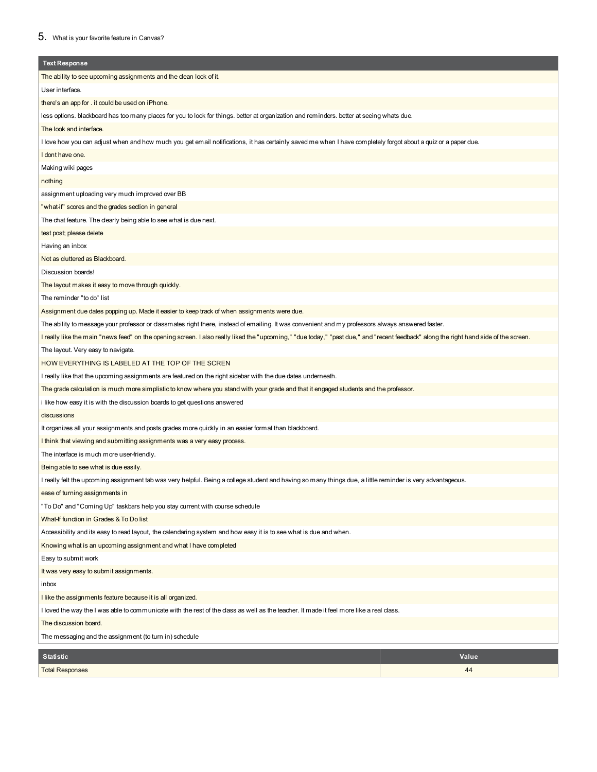#### 5. What is your favorite feature in Canvas?

| <b>Text Response</b>                                                                                                                                                                  |       |  |  |  |
|---------------------------------------------------------------------------------------------------------------------------------------------------------------------------------------|-------|--|--|--|
| The ability to see upcoming assignments and the dean look of it.                                                                                                                      |       |  |  |  |
| User interface.                                                                                                                                                                       |       |  |  |  |
| there's an app for . it could be used on iPhone.                                                                                                                                      |       |  |  |  |
| less options. blackboard has too many places for you to look for things. better at organization and reminders. better at seeing whats due.                                            |       |  |  |  |
| The look and interface.                                                                                                                                                               |       |  |  |  |
| I love how you can adjust when and how much you get email notifications, it has certainly saved me when I have completely forgot about a quiz or a paper due.                         |       |  |  |  |
| I dont have one.                                                                                                                                                                      |       |  |  |  |
| Making wiki pages                                                                                                                                                                     |       |  |  |  |
| nothing                                                                                                                                                                               |       |  |  |  |
| assignment uploading very much improved over BB                                                                                                                                       |       |  |  |  |
| "what-if" scores and the grades section in general                                                                                                                                    |       |  |  |  |
| The chat feature. The clearly being able to see what is due next.                                                                                                                     |       |  |  |  |
| test post; please delete                                                                                                                                                              |       |  |  |  |
| Having an inbox                                                                                                                                                                       |       |  |  |  |
| Not as duttered as Blackboard.                                                                                                                                                        |       |  |  |  |
| Discussion boards!                                                                                                                                                                    |       |  |  |  |
| The layout makes it easy to move through quickly.                                                                                                                                     |       |  |  |  |
| The reminder "to do" list                                                                                                                                                             |       |  |  |  |
| Assignment due dates popping up. Made it easier to keep track of when assignments were due.                                                                                           |       |  |  |  |
| The ability to message your professor or classmates right there, instead of emailing. It was convenient and my professors always answered faster.                                     |       |  |  |  |
| I really like the main "news feed" on the opening screen. I also really liked the "upcoming," "due today," "past due," and "recent feedback" along the right hand side of the screen. |       |  |  |  |
| The layout. Very easy to navigate.                                                                                                                                                    |       |  |  |  |
| HOW EVERYTHING IS LABELED AT THE TOP OF THE SCREN                                                                                                                                     |       |  |  |  |
| I really like that the upcoming assignments are featured on the right sidebar with the due dates underneath.                                                                          |       |  |  |  |
| The grade calculation is much more simplistic to know where you stand with your grade and that it engaged students and the professor.                                                 |       |  |  |  |
| i like how easy it is with the discussion boards to get questions answered                                                                                                            |       |  |  |  |
| discussions                                                                                                                                                                           |       |  |  |  |
| It organizes all your assignments and posts grades more quickly in an easier format than blackboard.                                                                                  |       |  |  |  |
| I think that viewing and submitting assignments was a very easy process.                                                                                                              |       |  |  |  |
| The interface is much more user-friendly.                                                                                                                                             |       |  |  |  |
| Being able to see what is due easily.                                                                                                                                                 |       |  |  |  |
| I really felt the upcoming assignment tab was very helpful. Being a college student and having so many things due, a little reminder is very advantageous.                            |       |  |  |  |
| ease of turning assignments in                                                                                                                                                        |       |  |  |  |
| "To Do" and "Coming Up" taskbars help you stay current with course schedule                                                                                                           |       |  |  |  |
| What-If function in Grades & To Do list                                                                                                                                               |       |  |  |  |
| Accessibility and its easy to read layout, the calendaring system and how easy it is to see what is due and when.                                                                     |       |  |  |  |
| Knowing what is an upcoming assignment and what I have completed                                                                                                                      |       |  |  |  |
| Easy to submit work                                                                                                                                                                   |       |  |  |  |
| It was very easy to submit assignments.                                                                                                                                               |       |  |  |  |
| inbox                                                                                                                                                                                 |       |  |  |  |
| I like the assignments feature because it is all organized.                                                                                                                           |       |  |  |  |
| l loved the way the I was able to communicate with the rest of the dass as well as the teacher. It made it feel more like a real dass.                                                |       |  |  |  |
| The discussion board.                                                                                                                                                                 |       |  |  |  |
| The messaging and the assignment (to turn in) schedule                                                                                                                                |       |  |  |  |
| <b>Statistic</b>                                                                                                                                                                      | Value |  |  |  |
| <b>Total Responses</b>                                                                                                                                                                | 44    |  |  |  |

Total Responses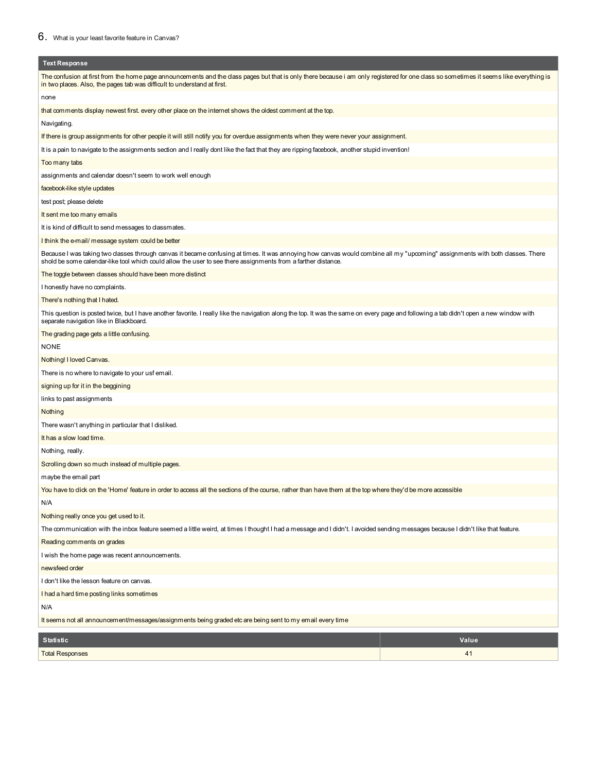| <b>Text Response</b>                                                                                                                                                                                                                                                                         |  |  |  |  |  |
|----------------------------------------------------------------------------------------------------------------------------------------------------------------------------------------------------------------------------------------------------------------------------------------------|--|--|--|--|--|
| The confusion at first from the home page announcements and the dass pages but that is only there because i am only registered for one dass so sometimes it seems like everything is<br>in two places. Also, the pages tab was difficult to understand at first.                             |  |  |  |  |  |
| none                                                                                                                                                                                                                                                                                         |  |  |  |  |  |
| that comments display newest first. every other place on the internet shows the oldest comment at the top.                                                                                                                                                                                   |  |  |  |  |  |
| Navigating.                                                                                                                                                                                                                                                                                  |  |  |  |  |  |
| If there is group assignments for other people it will still notify you for overdue assignments when they were never your assignment.                                                                                                                                                        |  |  |  |  |  |
| It is a pain to navigate to the assignments section and I really dont like the fact that they are ripping facebook, another stupid invention!                                                                                                                                                |  |  |  |  |  |
| Too many tabs                                                                                                                                                                                                                                                                                |  |  |  |  |  |
| assignments and calendar doesn't seem to work well enough                                                                                                                                                                                                                                    |  |  |  |  |  |
| facebook-like style updates                                                                                                                                                                                                                                                                  |  |  |  |  |  |
| test post; please delete                                                                                                                                                                                                                                                                     |  |  |  |  |  |
| It sent me too many emails                                                                                                                                                                                                                                                                   |  |  |  |  |  |
| It is kind of difficult to send messages to classmates.                                                                                                                                                                                                                                      |  |  |  |  |  |
| I think the e-mail/ message system could be better                                                                                                                                                                                                                                           |  |  |  |  |  |
| Because I was taking two dasses through canvas it became confusing at times. It was annoying how canvas would combine all my "upcoming" assignments with both dasses. There<br>shold be some calendar-like tool which could allow the user to see there assignments from a farther distance. |  |  |  |  |  |
| The toggle between dasses should have been more distinct                                                                                                                                                                                                                                     |  |  |  |  |  |
| I honestly have no complaints.                                                                                                                                                                                                                                                               |  |  |  |  |  |
| There's nothing that I hated.                                                                                                                                                                                                                                                                |  |  |  |  |  |
| This question is posted twice, but I have another favorite. I really like the navigation along the top. It was the same on every page and following a tab didn't open a new window with<br>separate navigation like in Blackboard.                                                           |  |  |  |  |  |
| The grading page gets a little confusing.                                                                                                                                                                                                                                                    |  |  |  |  |  |
| NONE                                                                                                                                                                                                                                                                                         |  |  |  |  |  |
| Nothing! I loved Canvas.                                                                                                                                                                                                                                                                     |  |  |  |  |  |
| There is no where to navigate to your usf email.                                                                                                                                                                                                                                             |  |  |  |  |  |
| signing up for it in the beggining                                                                                                                                                                                                                                                           |  |  |  |  |  |
| links to past assignments                                                                                                                                                                                                                                                                    |  |  |  |  |  |
| Nothing                                                                                                                                                                                                                                                                                      |  |  |  |  |  |
| There wasn't anything in particular that I disliked.                                                                                                                                                                                                                                         |  |  |  |  |  |
| It has a slow load time.                                                                                                                                                                                                                                                                     |  |  |  |  |  |
| Nothing, really.                                                                                                                                                                                                                                                                             |  |  |  |  |  |
| Scrolling down so much instead of multiple pages.                                                                                                                                                                                                                                            |  |  |  |  |  |
| maybe the email part                                                                                                                                                                                                                                                                         |  |  |  |  |  |
| You have to dick on the 'Home' feature in order to access all the sections of the course, rather than have them at the top where they'd be more accessible                                                                                                                                   |  |  |  |  |  |
| N/A                                                                                                                                                                                                                                                                                          |  |  |  |  |  |
| Nothing really once you get used to it.                                                                                                                                                                                                                                                      |  |  |  |  |  |
| The communication with the inbox feature seemed a little weird, at times I thought I had a message and I didn't. I avoided sending messages because I didn't like that feature.                                                                                                              |  |  |  |  |  |
| Reading comments on grades                                                                                                                                                                                                                                                                   |  |  |  |  |  |
| I wish the home page was recent announcements.                                                                                                                                                                                                                                               |  |  |  |  |  |
| newsfeed order                                                                                                                                                                                                                                                                               |  |  |  |  |  |
| I don't like the lesson feature on canvas.                                                                                                                                                                                                                                                   |  |  |  |  |  |
| I had a hard time posting links sometimes                                                                                                                                                                                                                                                    |  |  |  |  |  |
| N/A                                                                                                                                                                                                                                                                                          |  |  |  |  |  |
| It seems not all announcement/messages/assignments being graded etc are being sent to my email every time                                                                                                                                                                                    |  |  |  |  |  |
| <b>Statistic</b><br>Value                                                                                                                                                                                                                                                                    |  |  |  |  |  |

 $41$ 

| <b>Total Responses</b> |
|------------------------|
|------------------------|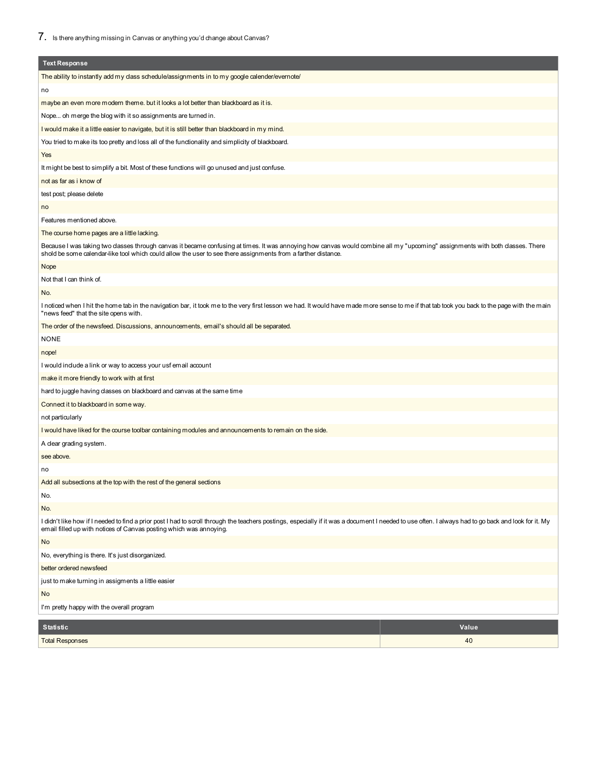| <b>Text Response</b>                                                                                                                                                                                                                                                                         |       |  |  |  |
|----------------------------------------------------------------------------------------------------------------------------------------------------------------------------------------------------------------------------------------------------------------------------------------------|-------|--|--|--|
| The ability to instantly add my class schedule/assignments in to my google calender/evernote/                                                                                                                                                                                                |       |  |  |  |
| no                                                                                                                                                                                                                                                                                           |       |  |  |  |
| maybe an even more modern theme. but it looks a lot better than blackboard as it is.                                                                                                                                                                                                         |       |  |  |  |
| Nope oh merge the blog with it so assignments are turned in.                                                                                                                                                                                                                                 |       |  |  |  |
| I would make it a little easier to navigate, but it is still better than blackboard in my mind.                                                                                                                                                                                              |       |  |  |  |
| You tried to make its too pretty and loss all of the functionality and simplicity of blackboard.                                                                                                                                                                                             |       |  |  |  |
| Yes                                                                                                                                                                                                                                                                                          |       |  |  |  |
| It might be best to simplify a bit. Most of these functions will go unused and just confuse.                                                                                                                                                                                                 |       |  |  |  |
| not as far as i know of                                                                                                                                                                                                                                                                      |       |  |  |  |
| test post; please delete                                                                                                                                                                                                                                                                     |       |  |  |  |
| no                                                                                                                                                                                                                                                                                           |       |  |  |  |
| Features mentioned above.                                                                                                                                                                                                                                                                    |       |  |  |  |
| The course home pages are a little lacking.                                                                                                                                                                                                                                                  |       |  |  |  |
| Because I was taking two dasses through canvas it became confusing at times. It was annoying how canvas would combine all my "upcoming" assignments with both dasses. There<br>shold be some calendar-like tool which could allow the user to see there assignments from a farther distance. |       |  |  |  |
| Nope                                                                                                                                                                                                                                                                                         |       |  |  |  |
| Not that I can think of.                                                                                                                                                                                                                                                                     |       |  |  |  |
| No.                                                                                                                                                                                                                                                                                          |       |  |  |  |
| I noticed when I hit the home tab in the navigation bar, it took me to the very first lesson we had. It would have made more sense to me if that tab took you back to the page with the main<br>"news feed" that the site opens with.                                                        |       |  |  |  |
| The order of the newsfeed. Discussions, announcements, email's should all be separated.                                                                                                                                                                                                      |       |  |  |  |
| <b>NONE</b>                                                                                                                                                                                                                                                                                  |       |  |  |  |
| nope!                                                                                                                                                                                                                                                                                        |       |  |  |  |
| I would indude a link or way to access your usf email account                                                                                                                                                                                                                                |       |  |  |  |
| make it more friendly to work with at first                                                                                                                                                                                                                                                  |       |  |  |  |
| hard to juggle having dasses on blackboard and canvas at the same time                                                                                                                                                                                                                       |       |  |  |  |
| Connect it to blackboard in some way.                                                                                                                                                                                                                                                        |       |  |  |  |
| not particularly                                                                                                                                                                                                                                                                             |       |  |  |  |
| I would have liked for the course toolbar containing modules and announcements to remain on the side.                                                                                                                                                                                        |       |  |  |  |
| A clear grading system.                                                                                                                                                                                                                                                                      |       |  |  |  |
| see above.                                                                                                                                                                                                                                                                                   |       |  |  |  |
| no                                                                                                                                                                                                                                                                                           |       |  |  |  |
| Add all subsections at the top with the rest of the general sections                                                                                                                                                                                                                         |       |  |  |  |
| No.                                                                                                                                                                                                                                                                                          |       |  |  |  |
| No.                                                                                                                                                                                                                                                                                          |       |  |  |  |
| I didn't like how if I needed to find a prior post I had to scroll through the teachers postings, especially if it was a document I needed to use often. I always had to go back and look for it. My<br>email filled up with notices of Canvas posting which was annoying.                   |       |  |  |  |
| No                                                                                                                                                                                                                                                                                           |       |  |  |  |
| No, everything is there. It's just disorganized.                                                                                                                                                                                                                                             |       |  |  |  |
| better ordered newsfeed                                                                                                                                                                                                                                                                      |       |  |  |  |
| just to make turning in assigments a little easier                                                                                                                                                                                                                                           |       |  |  |  |
| No                                                                                                                                                                                                                                                                                           |       |  |  |  |
| I'm pretty happy with the overall program                                                                                                                                                                                                                                                    |       |  |  |  |
| <b>Statistic</b>                                                                                                                                                                                                                                                                             | Value |  |  |  |
| <b>Total Responses</b>                                                                                                                                                                                                                                                                       | 40    |  |  |  |